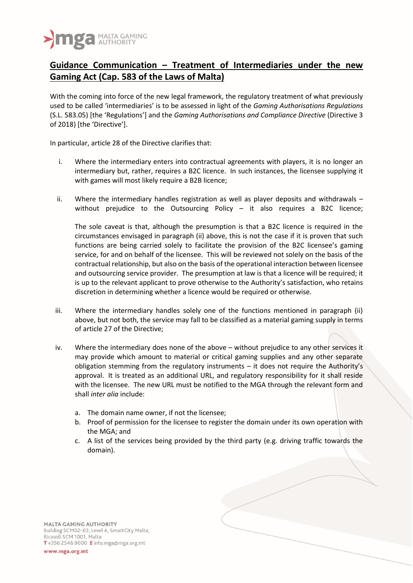

## **Guidance Communication – Treatment of Intermediaries under the new Gaming Act (Cap. 583 of the Laws of Malta)**

With the coming into force of the new legal framework, the regulatory treatment of what previously used to be called 'intermediaries' is to be assessed in light of the *Gaming Authorisations Regulations* (S.L. 583.05) [the 'Regulations'] and the *Gaming Authorisations and Compliance Directive* (Directive 3 of 2018) [the 'Directive'].

In particular, article 28 of the Directive clarifies that:

- i. Where the intermediary enters into contractual agreements with players, it is no longer an intermediary but, rather, requires a B2C licence. In such instances, the licensee supplying it with games will most likely require a B2B licence;
- ii. Where the intermediary handles registration as well as player deposits and withdrawals without prejudice to the Outsourcing Policy – it also requires a B2C licence;

The sole caveat is that, although the presumption is that a B2C licence is required in the circumstances envisaged in paragraph (ii) above, this is not the case if it is proven that such functions are being carried solely to facilitate the provision of the B2C licensee's gaming service, for and on behalf of the licensee. This will be reviewed not solely on the basis of the contractual relationship, but also on the basis of the operational interaction between licensee and outsourcing service provider. The presumption at law is that a licence will be required; it is up to the relevant applicant to prove otherwise to the Authority's satisfaction, who retains discretion in determining whether a licence would be required or otherwise.

- iii. Where the intermediary handles solely one of the functions mentioned in paragraph (ii) above, but not both, the service may fall to be classified as a material gaming supply in terms of article 27 of the Directive;
- iv. Where the intermediary does none of the above without prejudice to any other services it may provide which amount to material or critical gaming supplies and any other separate obligation stemming from the regulatory instruments – it does not require the Authority's approval. It is treated as an additional URL, and regulatory responsibility for it shall reside with the licensee. The new URL must be notified to the MGA through the relevant form and shall *inter alia* include:
	- a. The domain name owner, if not the licensee;
	- b. Proof of permission for the licensee to register the domain under its own operation with the MGA; and
	- c. A list of the services being provided by the third party (e.g. driving traffic towards the domain).